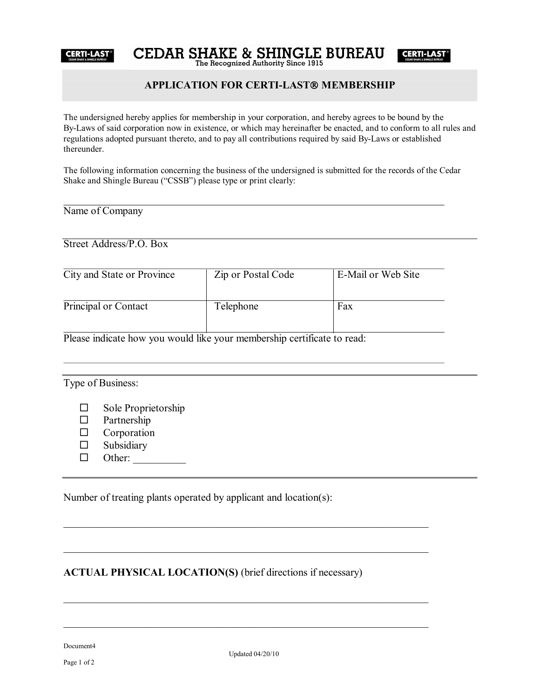**CERTI-LAST** 

**CEDAR SHAKE & SHINGLE BUREAU** 

The Recognized Authority Since 1915

**CERTI-LAST** 

### **APPLICATION FOR CERTI-LAST® MEMBERSHIP**

The undersigned hereby applies for membership in your corporation, and hereby agrees to be bound by the ByLaws of said corporation now in existence, or which may hereinafter be enacted, and to conform to all rules and regulations adopted pursuant thereto, and to pay all contributions required by said By-Laws or established thereunder.

The following information concerning the business of the undersigned is submitted for the records of the Cedar Shake and Shingle Bureau ("CSSB") please type or print clearly:

Name of Company

Street Address/P.O. Box

| City and State or Province | Zip or Postal Code | E-Mail or Web Site |
|----------------------------|--------------------|--------------------|
| Principal or Contact       | Telephone          | Fax                |

Please indicate how you would like your membership certificate to read:

Type of Business:

- $\square$  Sole Proprietorship
- $\square$  Partnership
- $\square$  Corporation
- $\square$  Subsidiary
- $\Box$  Other:

Number of treating plants operated by applicant and location(s):

**ACTUAL PHYSICAL LOCATION(S)** (brief directions if necessary)

Document4

\_\_\_\_\_\_\_\_\_\_\_\_\_\_\_\_\_\_\_\_\_\_\_\_\_\_\_\_\_\_\_\_\_\_\_\_\_\_\_\_\_\_\_\_\_\_\_\_\_\_\_\_\_\_\_\_\_\_\_\_\_\_\_\_\_\_\_\_\_

\_\_\_\_\_\_\_\_\_\_\_\_\_\_\_\_\_\_\_\_\_\_\_\_\_\_\_\_\_\_\_\_\_\_\_\_\_\_\_\_\_\_\_\_\_\_\_\_\_\_\_\_\_\_\_\_\_\_\_\_\_\_\_\_\_\_\_\_\_

\_\_\_\_\_\_\_\_\_\_\_\_\_\_\_\_\_\_\_\_\_\_\_\_\_\_\_\_\_\_\_\_\_\_\_\_\_\_\_\_\_\_\_\_\_\_\_\_\_\_\_\_\_\_\_\_\_\_\_\_\_\_\_\_\_\_\_\_\_

\_\_\_\_\_\_\_\_\_\_\_\_\_\_\_\_\_\_\_\_\_\_\_\_\_\_\_\_\_\_\_\_\_\_\_\_\_\_\_\_\_\_\_\_\_\_\_\_\_\_\_\_\_\_\_\_\_\_\_\_\_\_\_\_\_\_\_\_\_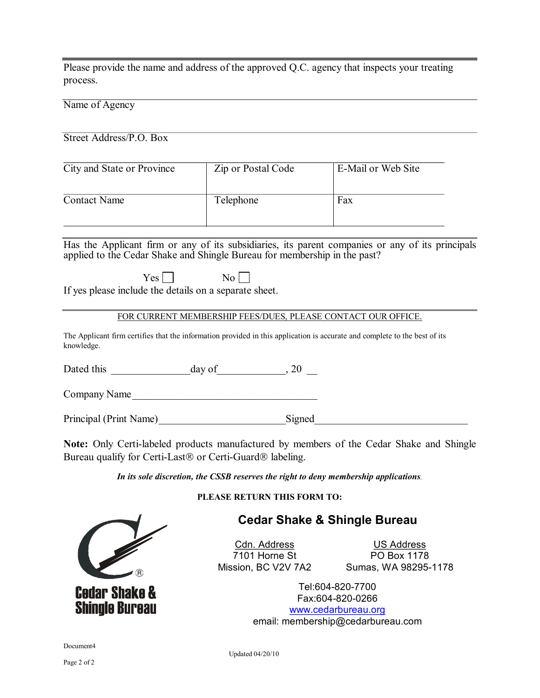Please provide the name and address of the approved Q.C. agency that inspects your treating process.

Name of Agency

Street Address/P.O. Box

| City and State or Province | Zip or Postal Code | E-Mail or Web Site |
|----------------------------|--------------------|--------------------|
| <b>Contact Name</b>        | Telephone          | Fax                |

Has the Applicant firm or any of its subsidiaries, its parent companies or any of its principals applied to the Cedar Shake and Shingle Bureau for membership in the past?

If yes please include the details on a separate sheet.

FOR CURRENT MEMBERSHIP FEES/DUES, PLEASE CONTACT OUR OFFICE.

The Applicant firm certifies that the information provided in this application is accurate and complete to the best of its knowledge.

Dated this  $\frac{day \text{ of } }{y}$ , 20  $\frac{dy}{dx}$ 

 $Yes \Box$  No  $No \Box$ 

Company Name

Principal (Print Name)<br>Signed

Note: Only Certi-labeled products manufactured by members of the Cedar Shake and Shingle Bureau qualify for Certi-Last® or Certi-Guard® labeling.

*In its sole discretion, the CSSB reserves the right to deny membership applications.*

**PLEASE RETURN THIS FORM TO:** 

**Cedar Shake & Shingle Bureau**  **Cedar Shake & Shingle Bureau**

Cdn. Address 7101 Horne St Mission, BC V2V 7A2

US Address PO Box 1178 Sumas, WA 98295-1178

Tel:604-820-7700 Fax:604-820-0266 [www.cedarbureau.org](http://www.cedarbureau.org/) email: membership@cedarbureau.com

Document4

Updated 04/20/10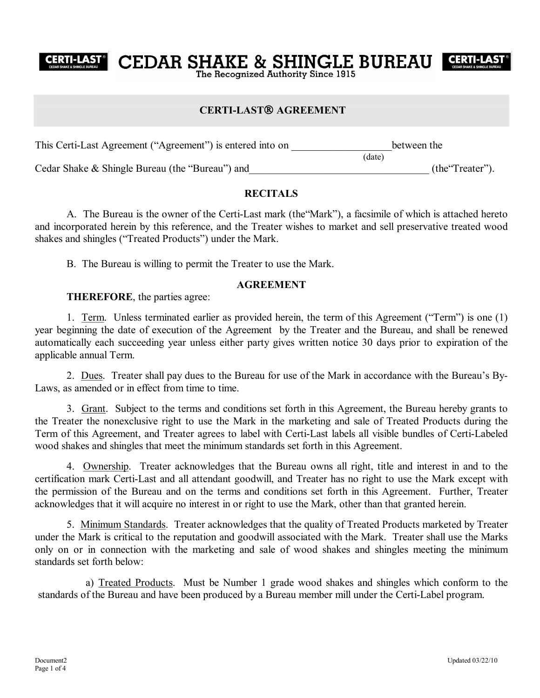**CEDAR SHAKE & SHINGLE BUREAU GERTLAS** 



The Recognized Authority Since 1915

# **CERTILAST**Ò **AGREEMENT**

This Certi-Last Agreement ("Agreement") is entered into on between the (date) Cedar Shake & Shingle Bureau (the "Bureau") and (the "Treater").

## **RECITALS**

A. The Bureau is the owner of the Certi-Last mark (the "Mark"), a facsimile of which is attached hereto and incorporated herein by this reference, and the Treater wishes to market and sell preservative treated wood shakes and shingles ("Treated Products") under the Mark.

B. The Bureau is willing to permit the Treater to use the Mark.

#### **AGREEMENT**

## **THEREFORE**, the parties agree:

1. Term. Unless terminated earlier as provided herein, the term of this Agreement ("Term") is one (1) year beginning the date of execution of the Agreement by the Treater and the Bureau, and shall be renewed automatically each succeeding year unless either party gives written notice 30 days prior to expiration of the applicable annual Term.

2. Dues. Treater shall pay dues to the Bureau for use of the Mark in accordance with the Bureau's By Laws, as amended or in effect from time to time.

3. Grant. Subject to the terms and conditions set forth in this Agreement, the Bureau hereby grants to the Treater the nonexclusive right to use the Mark in the marketing and sale of Treated Products during the Term of this Agreement, and Treater agrees to label with Certi-Last labels all visible bundles of Certi-Labeled wood shakes and shingles that meet the minimum standards set forth in this Agreement.

4. Ownership. Treater acknowledges that the Bureau owns all right, title and interest in and to the certification mark Certi-Last and all attendant goodwill, and Treater has no right to use the Mark except with the permission of the Bureau and on the terms and conditions set forth in this Agreement. Further, Treater acknowledges that it will acquire no interest in or right to use the Mark, other than that granted herein.

5. Minimum Standards. Treater acknowledges that the quality of Treated Products marketed by Treater under the Mark is critical to the reputation and goodwill associated with the Mark. Treater shall use the Marks only on or in connection with the marketing and sale of wood shakes and shingles meeting the minimum standards set forth below:

a) Treated Products. Must be Number 1 grade wood shakes and shingles which conform to the standards of the Bureau and have been produced by a Bureau member mill under the Certi-Label program.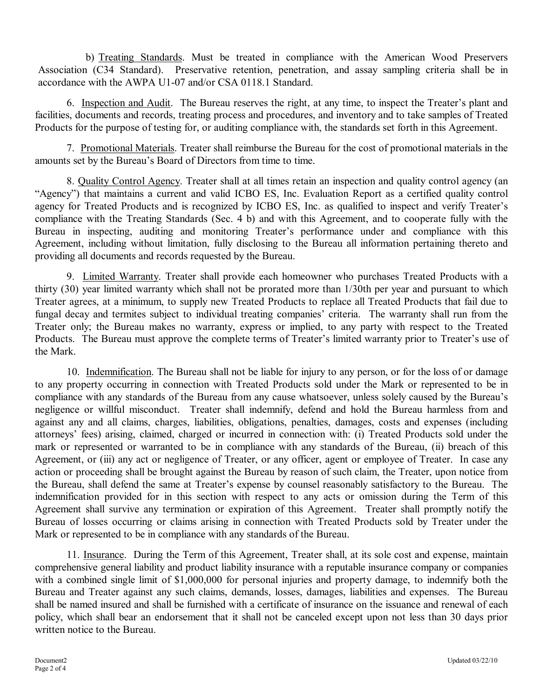b) Treating Standards. Must be treated in compliance with the American Wood Preservers Association (C34 Standard). Preservative retention, penetration, and assay sampling criteria shall be in accordance with the AWPA U1-07 and/or CSA 0118.1 Standard.

6. Inspection and Audit. The Bureau reserves the right, at any time, to inspect the Treater's plant and facilities, documents and records, treating process and procedures, and inventory and to take samples of Treated Products for the purpose of testing for, or auditing compliance with, the standards set forth in this Agreement.

7. Promotional Materials. Treater shall reimburse the Bureau for the cost of promotional materials in the amounts set by the Bureau's Board of Directors from time to time.

8. Quality Control Agency. Treater shall at all times retain an inspection and quality control agency (an "Agency") that maintains a current and valid ICBO ES, Inc. Evaluation Report as a certified quality control agency for Treated Products and is recognized by ICBO ES, Inc. as qualified to inspect and verify Treater's compliance with the Treating Standards (Sec. 4 b) and with this Agreement, and to cooperate fully with the Bureau in inspecting, auditing and monitoring Treater's performance under and compliance with this Agreement, including without limitation, fully disclosing to the Bureau all information pertaining thereto and providing all documents and records requested by the Bureau.

9. Limited Warranty. Treater shall provide each homeowner who purchases Treated Products with a thirty (30) year limited warranty which shall not be prorated more than 1/30th per year and pursuant to which Treater agrees, at a minimum, to supply new Treated Products to replace all Treated Products that fail due to fungal decay and termites subject to individual treating companies' criteria. The warranty shall run from the Treater only; the Bureau makes no warranty, express or implied, to any party with respect to the Treated Products. The Bureau must approve the complete terms of Treater's limited warranty prior to Treater's use of the Mark.

10. Indemnification. The Bureau shall not be liable for injury to any person, or for the loss of or damage to any property occurring in connection with Treated Products sold under the Mark or represented to be in compliance with any standards of the Bureau from any cause whatsoever, unless solely caused by the Bureau's negligence or willful misconduct. Treater shall indemnify, defend and hold the Bureau harmless from and against any and all claims, charges, liabilities, obligations, penalties, damages, costs and expenses (including attorneys' fees) arising, claimed, charged or incurred in connection with: (i) Treated Products sold under the mark or represented or warranted to be in compliance with any standards of the Bureau, (ii) breach of this Agreement, or (iii) any act or negligence of Treater, or any officer, agent or employee of Treater. In case any action or proceeding shall be brought against the Bureau by reason of such claim, the Treater, upon notice from the Bureau, shall defend the same at Treater's expense by counsel reasonably satisfactory to the Bureau. The indemnification provided for in this section with respect to any acts or omission during the Term of this Agreement shall survive any termination or expiration of this Agreement. Treater shall promptly notify the Bureau of losses occurring or claims arising in connection with Treated Products sold by Treater under the Mark or represented to be in compliance with any standards of the Bureau.

11. Insurance. During the Term of this Agreement, Treater shall, at its sole cost and expense, maintain comprehensive general liability and product liability insurance with a reputable insurance company or companies with a combined single limit of \$1,000,000 for personal injuries and property damage, to indemnify both the Bureau and Treater against any such claims, demands, losses, damages, liabilities and expenses. The Bureau shall be named insured and shall be furnished with a certificate of insurance on the issuance and renewal of each policy, which shall bear an endorsement that it shall not be canceled except upon not less than 30 days prior written notice to the Bureau.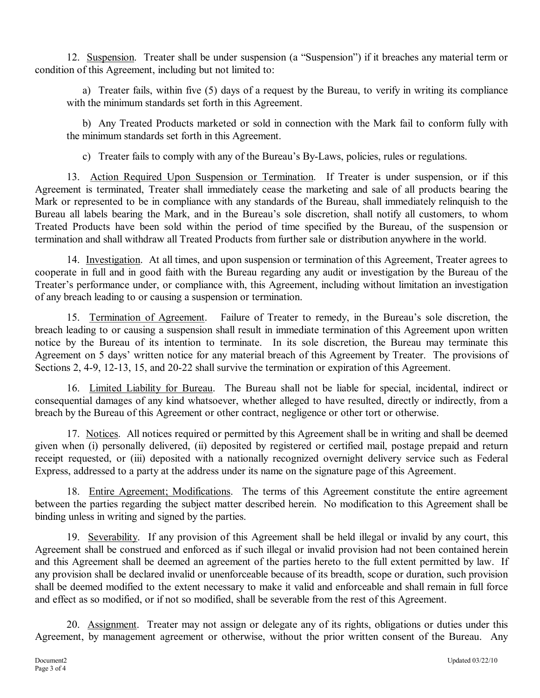12. Suspension. Treater shall be under suspension (a "Suspension") if it breaches any material term or condition of this Agreement, including but not limited to:

a) Treater fails, within five (5) days of a request by the Bureau, to verify in writing its compliance with the minimum standards set forth in this Agreement.

b) Any Treated Products marketed or sold in connection with the Mark fail to conform fully with the minimum standards set forth in this Agreement.

c) Treater fails to comply with any of the Bureau's By-Laws, policies, rules or regulations.

13. Action Required Upon Suspension or Termination. If Treater is under suspension, or if this Agreement is terminated, Treater shall immediately cease the marketing and sale of all products bearing the Mark or represented to be in compliance with any standards of the Bureau, shall immediately relinquish to the Bureau all labels bearing the Mark, and in the Bureau's sole discretion, shall notify all customers, to whom Treated Products have been sold within the period of time specified by the Bureau, of the suspension or termination and shall withdraw all Treated Products from further sale or distribution anywhere in the world.

14. Investigation. At all times, and upon suspension or termination of this Agreement, Treater agrees to cooperate in full and in good faith with the Bureau regarding any audit or investigation by the Bureau of the Treater's performance under, or compliance with, this Agreement, including without limitation an investigation of any breach leading to or causing a suspension or termination.

15. Termination of Agreement. Failure of Treater to remedy, in the Bureau's sole discretion, the breach leading to or causing a suspension shall result in immediate termination of this Agreement upon written notice by the Bureau of its intention to terminate. In its sole discretion, the Bureau may terminate this Agreement on 5 days' written notice for any material breach of this Agreement by Treater. The provisions of Sections 2, 4-9, 12-13, 15, and 20-22 shall survive the termination or expiration of this Agreement.

16. Limited Liability for Bureau. The Bureau shall not be liable for special, incidental, indirect or consequential damages of any kind whatsoever, whether alleged to have resulted, directly or indirectly, from a breach by the Bureau of this Agreement or other contract, negligence or other tort or otherwise.

17. Notices. All notices required or permitted by this Agreement shall be in writing and shall be deemed given when (i) personally delivered, (ii) deposited by registered or certified mail, postage prepaid and return receipt requested, or (iii) deposited with a nationally recognized overnight delivery service such as Federal Express, addressed to a party at the address under its name on the signature page of this Agreement.

18. Entire Agreement; Modifications. The terms of this Agreement constitute the entire agreement between the parties regarding the subject matter described herein. No modification to this Agreement shall be binding unless in writing and signed by the parties.

19. Severability. If any provision of this Agreement shall be held illegal or invalid by any court, this Agreement shall be construed and enforced as if such illegal or invalid provision had not been contained herein and this Agreement shall be deemed an agreement of the parties hereto to the full extent permitted by law. If any provision shall be declared invalid or unenforceable because of its breadth, scope or duration, such provision shall be deemed modified to the extent necessary to make it valid and enforceable and shall remain in full force and effect as so modified, or if not so modified, shall be severable from the rest of this Agreement.

20. Assignment. Treater may not assign or delegate any of its rights, obligations or duties under this Agreement, by management agreement or otherwise, without the prior written consent of the Bureau. Any